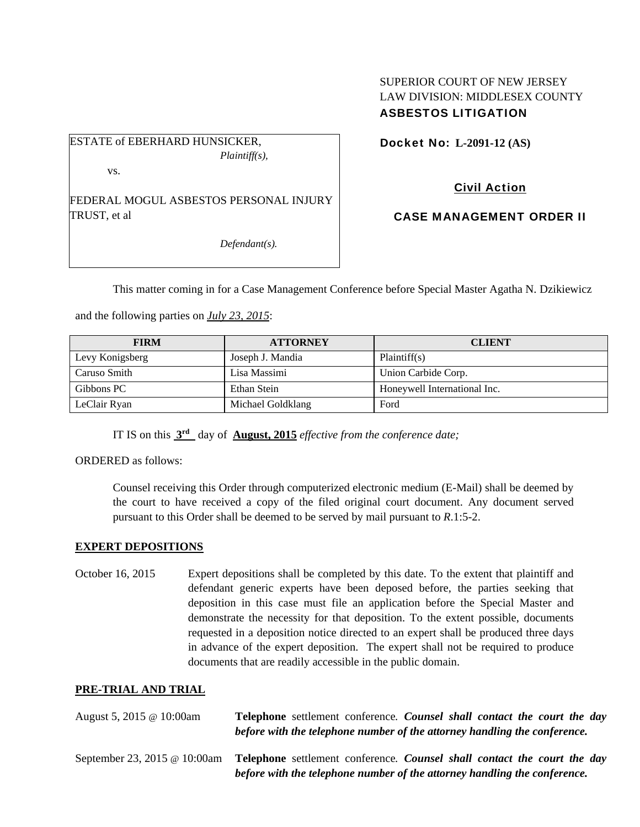## SUPERIOR COURT OF NEW JERSEY LAW DIVISION: MIDDLESEX COUNTY ASBESTOS LITIGATION

ESTATE of EBERHARD HUNSICKER, *Plaintiff(s),* 

vs.

FEDERAL MOGUL ASBESTOS PERSONAL INJURY TRUST, et al

*Defendant(s).* 

Docket No: **L-2091-12 (AS)** 

Civil Action

CASE MANAGEMENT ORDER II

This matter coming in for a Case Management Conference before Special Master Agatha N. Dzikiewicz

and the following parties on *July 23, 2015*:

| <b>FIRM</b>     | <b>ATTORNEY</b>   | <b>CLIENT</b>                |
|-----------------|-------------------|------------------------------|
| Levy Konigsberg | Joseph J. Mandia  | Plaintiff(s)                 |
| Caruso Smith    | Lisa Massimi      | Union Carbide Corp.          |
| Gibbons PC      | Ethan Stein       | Honeywell International Inc. |
| LeClair Ryan    | Michael Goldklang | Ford                         |

IT IS on this **3rd** day of **August, 2015** *effective from the conference date;*

ORDERED as follows:

Counsel receiving this Order through computerized electronic medium (E-Mail) shall be deemed by the court to have received a copy of the filed original court document. Any document served pursuant to this Order shall be deemed to be served by mail pursuant to *R*.1:5-2.

## **EXPERT DEPOSITIONS**

October 16, 2015 Expert depositions shall be completed by this date. To the extent that plaintiff and defendant generic experts have been deposed before, the parties seeking that deposition in this case must file an application before the Special Master and demonstrate the necessity for that deposition. To the extent possible, documents requested in a deposition notice directed to an expert shall be produced three days in advance of the expert deposition. The expert shall not be required to produce documents that are readily accessible in the public domain.

## **PRE-TRIAL AND TRIAL**

| August 5, 2015 $\omega$ 10:00am | Telephone settlement conference. Counsel shall contact the court the day<br>before with the telephone number of the attorney handling the conference. |
|---------------------------------|-------------------------------------------------------------------------------------------------------------------------------------------------------|
| September 23, 2015 @ 10:00am    | Telephone settlement conference. Counsel shall contact the court the day<br>before with the telephone number of the attorney handling the conference. |